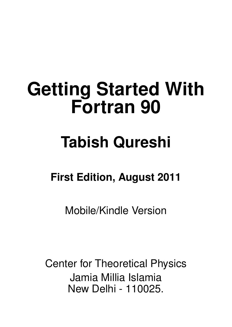# **Getting Started With Fortran 90**

# **Tabish Qureshi**

# **First Edition, August 2011**

Mobile/Kindle Version

Center for Theoretical Physics Jamia Millia Islamia New Delhi - 110025.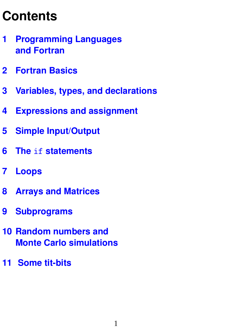# **Contents**

- **[1 Programming Languages](#page-2-0) [and Fortran](#page-2-0) 2**
- **[2 Fortran Basics](#page-5-0) 5**
- **[3 Variables, types, and declarations](#page-8-0) 8**
- **[4 Expressions and assignment](#page-10-0) 10**
- **[5 Simple Input/Output](#page-15-0) 15**
- **6 The if [statements](#page-18-0)**
- **[7 Loops](#page-20-0) 20**
- **[8 Arrays and Matrices](#page-24-0)**
- **[9 Subprograms](#page-29-0) 29**
- **[10 Random numbers and](#page-34-0) [Monte Carlo simulations](#page-34-0) 34**
- **[11 Some tit-bits](#page-38-0) 38**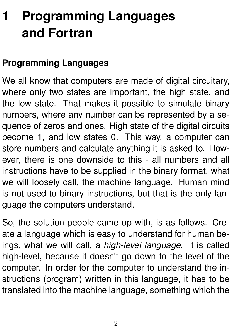# <span id="page-2-0"></span>**1 Programming Languages and Fortran**

#### **Programming Languages**

We all know that computers are made of digital circuitary, where only two states are important, the high state, and the low state. That makes it possible to simulate binary numbers, where any number can be represented by a sequence of zeros and ones. High state of the digital circuits become 1, and low states 0. This way, a computer can store numbers and calculate anything it is asked to. However, there is one downside to this - all numbers and all instructions have to be supplied in the binary format, what we will loosely call, the machine language. Human mind is not used to binary instructions, but that is the only language the computers understand.

So, the solution people came up with, is as follows. Create a language which is easy to understand for human beings, what we will call, a *high-level language*. It is called high-level, because it doesn't go down to the level of the computer. In order for the computer to understand the instructions (program) written in this language, it has to be translated into the machine language, something which the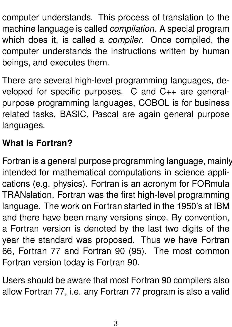computer understands. This process of translation to the machine language is called *compilation*. A special program which does it, is called a *compiler*. Once compiled, the computer understands the instructions written by human beings, and executes them.

There are several high-level programming languages, developed for specific purposes. C and C++ are generalpurpose programming languages, COBOL is for business related tasks, BASIC, Pascal are again general purpose languages.

### **What is Fortran?**

Fortran is a general purpose programming language, mainly intended for mathematical computations in science applications (e.g. physics). Fortran is an acronym for FORmula TRANslation. Fortran was the first high-level programming language. The work on Fortran started in the 1950's at IBM and there have been many versions since. By convention, a Fortran version is denoted by the last two digits of the year the standard was proposed. Thus we have Fortran 66, Fortran 77 and Fortran 90 (95). The most common Fortran version today is Fortran 90.

Users should be aware that most Fortran 90 compilers also allow Fortran 77, i.e. any Fortran 77 program is also a valid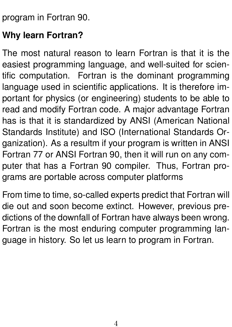program in Fortran 90.

### **Why learn Fortran?**

The most natural reason to learn Fortran is that it is the easiest programming language, and well-suited for scientific computation. Fortran is the dominant programming language used in scientific applications. It is therefore important for physics (or engineering) students to be able to read and modify Fortran code. A major advantage Fortran has is that it is standardized by ANSI (American National Standards Institute) and ISO (International Standards Organization). As a resultm if your program is written in ANSI Fortran 77 or ANSI Fortran 90, then it will run on any computer that has a Fortran 90 compiler. Thus, Fortran programs are portable across computer platforms

From time to time, so-called experts predict that Fortran will die out and soon become extinct. However, previous predictions of the downfall of Fortran have always been wrong. Fortran is the most enduring computer programming language in history. So let us learn to program in Fortran.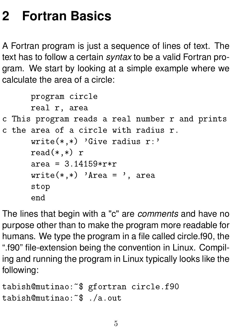# <span id="page-5-0"></span>**2 Fortran Basics**

A Fortran program is just a sequence of lines of text. The text has to follow a certain *syntax* to be a valid Fortran program. We start by looking at a simple example where we calculate the area of a circle:

```
program circle
      real r, area
c This program reads a real number r and prints
c the area of a circle with radius r.
      write(*,*) 'Give radius r:'
      read(*,*) r
      area = 3.14159*rr*rwrite(*,*) 'Area = ', area
      stop
      end
```
The lines that begin with a "c" are *comments* and have no purpose other than to make the program more readable for humans. We type the program in a file called circle.f90, the ".f90" file-extension being the convention in Linux. Compiling and running the program in Linux typically looks like the following:

```
tabish@mutinao:~$ gfortran circle.f90
tabish@mutinao:~$ ./a.out
```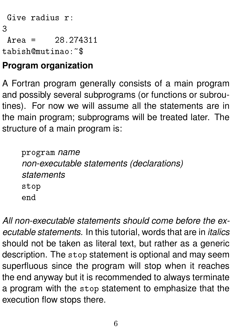Give radius r:

3

 $Area = 28.274311$ tabish@mutinao:~\$

### **Program organization**

A Fortran program generally consists of a main program and possibly several subprograms (or functions or subroutines). For now we will assume all the statements are in the main program; subprograms will be treated later. The structure of a main program is:

program *name non-executable statements (declarations) statements* stop end

*All non-executable statements should come before the executable statements.* In this tutorial, words that are in *italics* should not be taken as literal text, but rather as a generic description. The stop statement is optional and may seem superfluous since the program will stop when it reaches the end anyway but it is recommended to always terminate a program with the stop statement to emphasize that the execution flow stops there.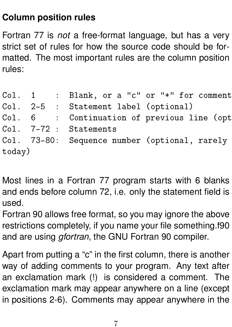#### **Column position rules**

Fortran 77 is *not* a free-format language, but has a very strict set of rules for how the source code should be formatted. The most important rules are the column position rules:

|        |  | Col. $1$ : Blank, or a "c" or " $*$ " for comment |
|--------|--|---------------------------------------------------|
|        |  | Col. 2-5 : Statement label (optional)             |
|        |  | Col. 6 : Continuation of previous line (opt       |
|        |  | Col. 7-72 : Statements                            |
|        |  | Col. 73-80: Sequence number (optional, rarely     |
| today) |  |                                                   |
|        |  |                                                   |

Most lines in a Fortran 77 program starts with 6 blanks and ends before column 72, i.e. only the statement field is used.

Fortran 90 allows free format, so you may ignore the above restrictions completely, if you name your file something.f90 and are using *gfortran*, the GNU Fortran 90 compiler.

Apart from putting a "c" in the first column, there is another way of adding comments to your program. Any text after an exclamation mark (!) is considered a comment. The exclamation mark may appear anywhere on a line (except in positions 2-6). Comments may appear anywhere in the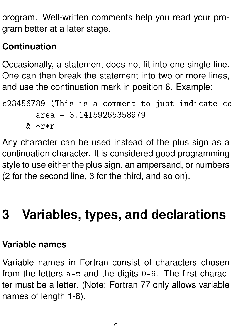program. Well-written comments help you read your program better at a later stage.

### **Continuation**

Occasionally, a statement does not fit into one single line. One can then break the statement into two or more lines, and use the continuation mark in position 6. Example:

```
c23456789 (This is a comment to just indicate co
       area = 3.14159265358979& *r*r
```
Any character can be used instead of the plus sign as a continuation character. It is considered good programming style to use either the plus sign, an ampersand, or numbers (2 for the second line, 3 for the third, and so on).

# <span id="page-8-0"></span>**3 Variables, types, and declarations**

#### **Variable names**

Variable names in Fortran consist of characters chosen from the letters a-z and the digits 0-9. The first character must be a letter. (Note: Fortran 77 only allows variable names of length 1-6).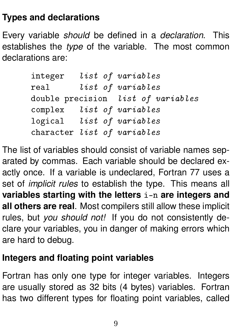#### **Types and declarations**

Every variable *should* be defined in a *declaration*. This establishes the *type* of the variable. The most common declarations are:

|      |  | integer list of variables          |
|------|--|------------------------------------|
| real |  | list of variables                  |
|      |  | double precision list of variables |
|      |  | complex list of variables          |
|      |  | logical list of variables          |
|      |  | character list of variables        |

The list of variables should consist of variable names separated by commas. Each variable should be declared exactly once. If a variable is undeclared, Fortran 77 uses a set of *implicit rules* to establish the type. This means all **variables starting with the letters** i-n **are integers and all others are real**. Most compilers still allow these implicit rules, but *you should not!* If you do not consistently declare your variables, you in danger of making errors which are hard to debug.

#### **Integers and floating point variables**

Fortran has only one type for integer variables. Integers are usually stored as 32 bits (4 bytes) variables. Fortran has two different types for floating point variables, called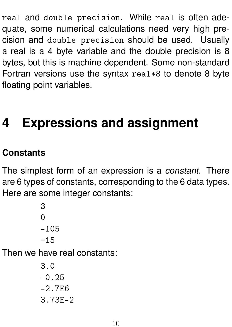real and double precision. While real is often adequate, some numerical calculations need very high precision and double precision should be used. Usually a real is a 4 byte variable and the double precision is 8 bytes, but this is machine dependent. Some non-standard Fortran versions use the syntax real\*8 to denote 8 byte floating point variables.

# <span id="page-10-0"></span>**4 Expressions and assignment**

## **Constants**

The simplest form of an expression is a *constant*. There are 6 types of constants, corresponding to the 6 data types. Here are some integer constants:

> 3  $\Omega$ -105  $+15$

Then we have real constants:

3.0  $-0.25$ -2.7E6 3.73E-2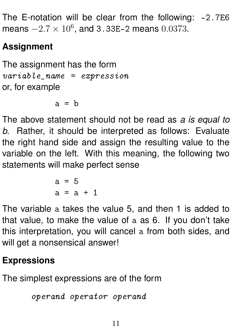The E-notation will be clear from the following: -2.7E6 means  $-2.7 \times 10^6$ , and 3.33E-2 means 0.0373.

## **Assignment**

The assignment has the form  $variable\_name = expression$ or, for example

 $a = b$ 

The above statement should not be read as *a is equal to b*. Rather, it should be interpreted as follows: Evaluate the right hand side and assign the resulting value to the variable on the left. With this meaning, the following two statements will make perfect sense

> $a = 5$  $a = a + 1$

The variable a takes the value 5, and then 1 is added to that value, to make the value of a as 6. If you don't take this interpretation, you will cancel a from both sides, and will get a nonsensical answer!

### **Expressions**

The simplest expressions are of the form

```
operand operator operand
```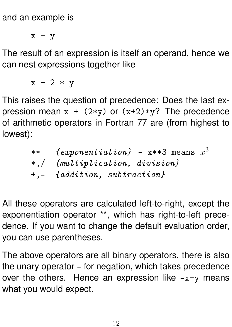and an example is

 $x + y$ 

The result of an expression is itself an operand, hence we can nest expressions together like

 $x + 2 * y$ 

This raises the question of precedence: Does the last expression mean  $x + (2*y)$  or  $(x+2)*y$ ? The precedence of arithmetic operators in Fortran 77 are (from highest to lowest):

> \*\*  $\quad$  *{exponentiation}* - x\*\*3 means  $x^3$ \*,/ {multiplication, division} +,- {addition, subtraction}

All these operators are calculated left-to-right, except the exponentiation operator \*\*, which has right-to-left precedence. If you want to change the default evaluation order, you can use parentheses.

The above operators are all binary operators. there is also the unary operator - for negation, which takes precedence over the others. Hence an expression like  $-x+y$  means what you would expect.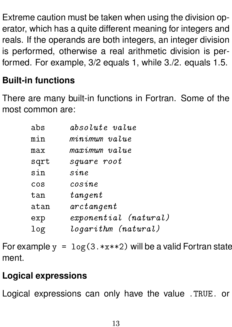Extreme caution must be taken when using the division operator, which has a quite different meaning for integers and reals. If the operands are both integers, an integer division is performed, otherwise a real arithmetic division is performed. For example, 3/2 equals 1, while 3./2. equals 1.5.

### **Built-in functions**

There are many built-in functions in Fortran. Some of the most common are:

| abs  | absolute value        |
|------|-----------------------|
| min  | minimum value         |
| max  | maximum value         |
| sqrt | square root           |
| sin  | sine                  |
| cos  | cosine                |
| tan  | $t$ angent            |
| atan | $arct$ an qent        |
| exp  | exponential (natural) |
| log  | logarithm (natural)   |

For example  $y = \log(3.*x**2)$  will be a valid Fortran state ment.

#### **Logical expressions**

Logical expressions can only have the value .TRUE. or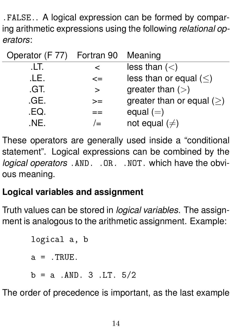.FALSE.. A logical expression can be formed by comparing arithmetic expressions using the following *relational operators*:

| Operator (F 77) Fortran 90 Meaning |        |                                |
|------------------------------------|--------|--------------------------------|
| .LT.                               | ≺      | less than $(<)$                |
| .LE.                               | $\leq$ | less than or equal $(<)$       |
| .GT.                               | >      | greater than $(>)$             |
| .GE.                               | $>=$   | greater than or equal $(\geq)$ |
| .EQ.                               |        | equal $(=)$                    |
| .NF.                               |        | not equal $(\neq)$             |

These operators are generally used inside a "conditional statement". Logical expressions can be combined by the *logical operators* .AND. .OR. .NOT. which have the obvious meaning.

### **Logical variables and assignment**

Truth values can be stored in *logical variables*. The assignment is analogous to the arithmetic assignment. Example:

```
logical a, b
a = .TRUE.
b = a . AND. 3 . LT. 5/2
```
The order of precedence is important, as the last example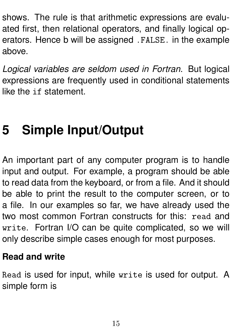shows. The rule is that arithmetic expressions are evaluated first, then relational operators, and finally logical operators. Hence b will be assigned .FALSE. in the example above.

*Logical variables are seldom used in Fortran*. But logical expressions are frequently used in conditional statements like the if statement.

# <span id="page-15-0"></span>**5 Simple Input/Output**

An important part of any computer program is to handle input and output. For example, a program should be able to read data from the keyboard, or from a file. And it should be able to print the result to the computer screen, or to a file. In our examples so far, we have already used the two most common Fortran constructs for this: read and write. Fortran I/O can be quite complicated, so we will only describe simple cases enough for most purposes.

#### **Read and write**

Read is used for input, while write is used for output. A simple form is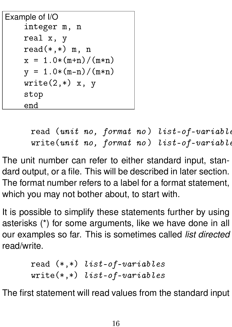```
Example of I/O
    integer m, n
    real x, y
    read(*,*) m, n
    x = 1.0*(m+n)/(m*n)y = 1.0*(m-n)/(m*n)write(2, *) x, y
    stop
    end
```

```
read (unit no, format no) list-of-variable
write(unit no, format no) list-of-variable
```
The unit number can refer to either standard input, standard output, or a file. This will be described in later section. The format number refers to a label for a format statement, which you may not bother about, to start with.

It is possible to simplify these statements further by using asterisks (\*) for some arguments, like we have done in all our examples so far. This is sometimes called *list directed* read/write.

```
read (*,*) list-of-variables
write(*,*) list-of-variables
```
The first statement will read values from the standard input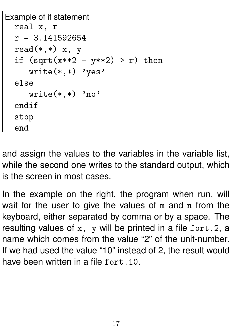```
Example of if statement
  real x, r
  r = 3.141592654read(*,*) x, y
  if (sqrt(x**2 + y**2) > r) then
     write(*, *) 'yes'
  else
     write(*,*) 'no'
  endif
  stop
  end
```
and assign the values to the variables in the variable list, while the second one writes to the standard output, which is the screen in most cases.

In the example on the right, the program when run, will wait for the user to give the values of m and n from the keyboard, either separated by comma or by a space. The resulting values of  $x$ ,  $y$  will be printed in a file fort. 2, a name which comes from the value "2" of the unit-number. If we had used the value "10" instead of 2, the result would have been written in a file fort. 10.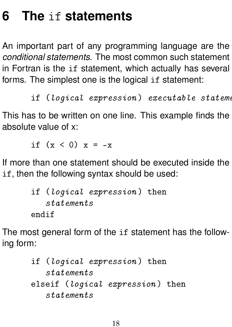# <span id="page-18-0"></span>**6 The** if **statements**

An important part of any programming language are the *conditional statements*. The most common such statement in Fortran is the if statement, which actually has several forms. The simplest one is the logical if statement:

 $if (logical expression) executable state$ 

This has to be written on one line. This example finds the absolute value of x:

if  $(x < 0) x = -x$ 

If more than one statement should be executed inside the if, then the following syntax should be used:

```
if (logical expression ) then
   statements
endif
```
The most general form of the if statement has the following form:

```
if (logical expression ) then
   statements
elseif (logical expression) then
   statements
```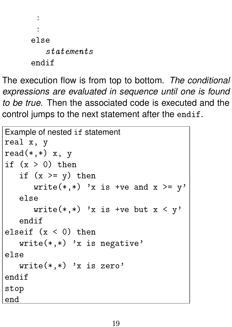```
:
 :
else
   statements
endif
```
The execution flow is from top to bottom. *The conditional expressions are evaluated in sequence until one is found to be true.* Then the associated code is executed and the control jumps to the next statement after the endif.

```
Example of nested if statement
real x, y
read(*,*) x, y
if (x > 0) then
   if (x \ge y) then
      write(*,*) 'x is +ve and x \ge y'
   else
      write(*,*) 'x is +ve but x < y'
   endif
elseif (x < 0) then
   write(*, *) 'x is negative'
else
   write(*,*) 'x is zero'
endif
stop
end
```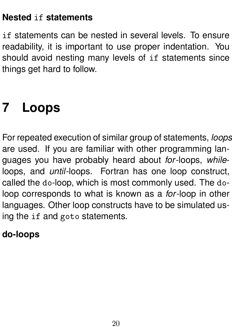#### **Nested** if **statements**

if statements can be nested in several levels. To ensure readability, it is important to use proper indentation. You should avoid nesting many levels of if statements since things get hard to follow.

# <span id="page-20-0"></span>**7 Loops**

For repeated execution of similar group of statements, *loops* are used. If you are familiar with other programming languages you have probably heard about *for*-loops, *while*loops, and *until*-loops. Fortran has one loop construct, called the do-loop, which is most commonly used. The doloop corresponds to what is known as a *for*-loop in other languages. Other loop constructs have to be simulated using the if and goto statements.

#### **do-loops**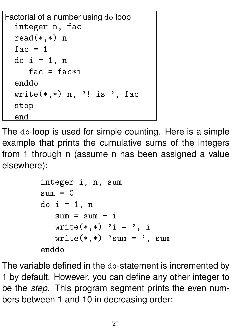```
Factorial of a number using do loop
  integer n, fac
  read(*,*) n
  fac = 1do i = 1, nfac = fac*<sub>i</sub>enddo
  write(*,*) n, '! is ', fac
  stop
  end
```
The do-loop is used for simple counting. Here is a simple example that prints the cumulative sums of the integers from 1 through n (assume n has been assigned a value elsewhere):

```
integer i, n, sum
sum = 0do i = 1, n
   sum = sum + i
   write(*,*) 'i = ', i
   write(*, *) 'sum = ', sum
enddo
```
The variable defined in the do-statement is incremented by 1 by default. However, you can define any other integer to be the *step*. This program segment prints the even numbers between 1 and 10 in decreasing order: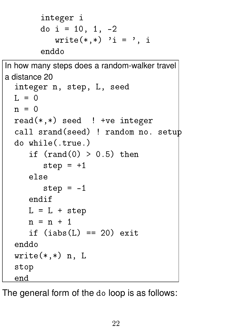```
integer i
do i = 10, 1, -2write(*,*) 'i = ', i
enddo
```

```
In how many steps does a random-walker travel
a distance 20
  integer n, step, L, seed
  L = 0n = 0read(*,*) seed ! +ve integer
  call srand(seed) ! random no. setup
  do while(.true.)
     if (rand(0) > 0.5) then
        step = +1else
        step = -1endif
     L = L + stepn = n + 1if (iabs(L) == 20) exit
  enddo
  write(*, *) n, L
  stop
  end
```
The general form of the do loop is as follows: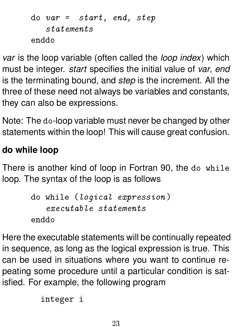```
do var = start, end, step
   statements
enddo
```
*var* is the loop variable (often called the *loop index*) which must be integer. *start* specifies the initial value of *var*, *end* is the terminating bound, and *step* is the increment. All the three of these need not always be variables and constants, they can also be expressions.

Note: The do-loop variable must never be changed by other statements within the loop! This will cause great confusion.

### **do while loop**

There is another kind of loop in Fortran 90, the do while loop. The syntax of the loop is as follows

```
do while (logical expression )
   executable statements
enddo
```
Here the executable statements will be continually repeated in sequence, as long as the logical expression is true. This can be used in situations where you want to continue repeating some procedure until a particular condition is satisfied. For example, the following program

integer i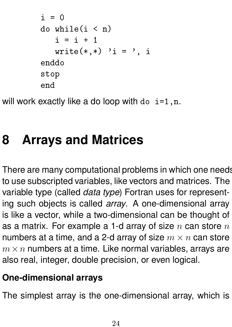```
i = 0do while(i < n)
   i = i + 1write(*,*) 'i = ', i
enddo
stop
end
```
will work exactly like a do loop with do  $i=1, n$ .

# <span id="page-24-0"></span>**8 Arrays and Matrices**

There are many computational problems in which one needs to use subscripted variables, like vectors and matrices. The variable type (called *data type*) Fortran uses for representing such objects is called *array*. A one-dimensional array is like a vector, while a two-dimensional can be thought of as a matrix. For example a 1-d array of size  $n$  can store  $n$ numbers at a time, and a 2-d array of size  $m \times n$  can store  $m \times n$  numbers at a time. Like normal variables, arrays are also real, integer, double precision, or even logical.

### **One-dimensional arrays**

The simplest array is the one-dimensional array, which is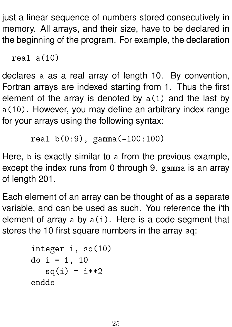just a linear sequence of numbers stored consecutively in memory. All arrays, and their size, have to be declared in the beginning of the program. For example, the declaration

```
real a(10)
```
declares a as a real array of length 10. By convention, Fortran arrays are indexed starting from 1. Thus the first element of the array is denoted by  $a(1)$  and the last by a(10). However, you may define an arbitrary index range for your arrays using the following syntax:

```
real b(0:9), gamma(-100:100)
```
Here, b is exactly similar to a from the previous example, except the index runs from 0 through 9. gamma is an array of length 201.

Each element of an array can be thought of as a separate variable, and can be used as such. You reference the i'th element of array a by  $a(i)$ . Here is a code segment that stores the 10 first square numbers in the array sq:

```
integer i, sq(10)
do i = 1, 10sq(i) = i * * 2enddo
```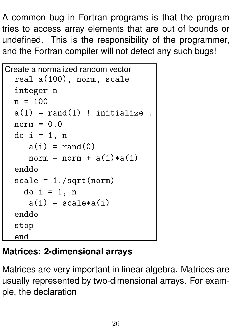A common bug in Fortran programs is that the program tries to access array elements that are out of bounds or undefined. This is the responsibility of the programmer, and the Fortran compiler will not detect any such bugs!

```
Create a normalized random vector
  real a(100), norm, scale
  integer n
  n = 100a(1) = rand(1) ! initialize..
  norm = 0.0do i = 1, n
     a(i) = rand(0)norm = norm + a(i)*a(i)enddo
  scale = 1./sqrt(norm)do i = 1, n
     a(i) = scale * a(i)enddo
  stop
  end
```
## **Matrices: 2-dimensional arrays**

Matrices are very important in linear algebra. Matrices are usually represented by two-dimensional arrays. For example, the declaration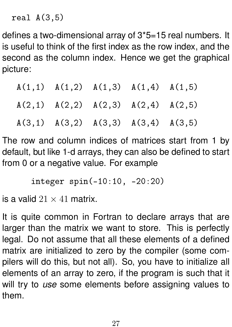real  $A(3.5)$ 

defines a two-dimensional array of 3\*5=15 real numbers. It is useful to think of the first index as the row index, and the second as the column index. Hence we get the graphical picture:

| $A(1,1)$ $A(1,2)$ $A(1,3)$ $A(1,4)$ $A(1,5)$ |  |  |
|----------------------------------------------|--|--|
| $A(2,1)$ $A(2,2)$ $A(2,3)$ $A(2,4)$ $A(2,5)$ |  |  |
| $A(3,1)$ $A(3,2)$ $A(3,3)$ $A(3,4)$ $A(3,5)$ |  |  |

The row and column indices of matrices start from 1 by default, but like 1-d arrays, they can also be defined to start from 0 or a negative value. For example

integer spin(-10:10, -20:20)

is a valid  $21 \times 41$  matrix.

It is quite common in Fortran to declare arrays that are larger than the matrix we want to store. This is perfectly legal. Do not assume that all these elements of a defined matrix are initialized to zero by the compiler (some compilers will do this, but not all). So, you have to initialize all elements of an array to zero, if the program is such that it will try to *use* some elements before assigning values to them.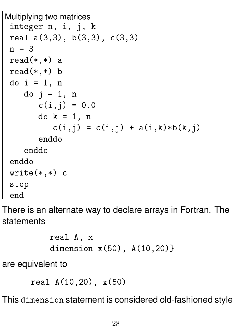```
Multiplying two matrices
 integer n, i, j, k
 real a(3,3), b(3,3), c(3,3)n = 3read(*,*) a
 read(*,*) b
 do i = 1, n
    do i = 1, n
       c(i,j) = 0.0do k = 1, n
          c(i,j) = c(i,j) + a(i,k)*b(k,j)enddo
    enddo
 enddo
 write(*, *) c
 stop
 end
```
There is an alternate way to declare arrays in Fortran. The statements

```
real A, x
dimension x(50), A(10,20)}
```
are equivalent to

```
real A(10,20), x(50)
```
This dimension statement is considered old-fashioned style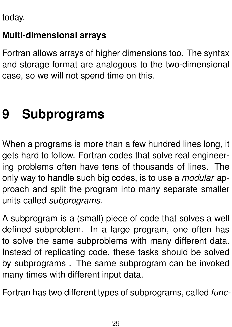today.

### **Multi-dimensional arrays**

Fortran allows arrays of higher dimensions too. The syntax and storage format are analogous to the two-dimensional case, so we will not spend time on this.

# <span id="page-29-0"></span>**9 Subprograms**

When a programs is more than a few hundred lines long, it gets hard to follow. Fortran codes that solve real engineering problems often have tens of thousands of lines. The only way to handle such big codes, is to use a *modular* approach and split the program into many separate smaller units called *subprograms*.

A subprogram is a (small) piece of code that solves a well defined subproblem. In a large program, one often has to solve the same subproblems with many different data. Instead of replicating code, these tasks should be solved by subprograms . The same subprogram can be invoked many times with different input data.

Fortran has two different types of subprograms, called *func-*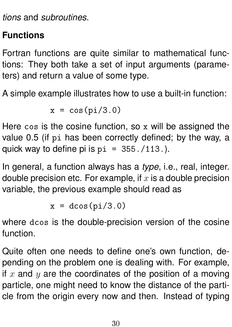*tions* and *subroutines*.

### **Functions**

Fortran functions are quite similar to mathematical functions: They both take a set of input arguments (parameters) and return a value of some type.

A simple example illustrates how to use a built-in function:

$$
x = \cos(pi/3.0)
$$

Here cos is the cosine function, so x will be assigned the value 0.5 (if pi has been correctly defined; by the way, a quick way to define pi is  $pi = 355./113.$ ).

In general, a function always has a *type*, i.e., real, integer. double precision etc. For example, if  $x$  is a double precision variable, the previous example should read as

$$
x = d\cos(pi/3.0)
$$

where dcos is the double-precision version of the cosine function.

Quite often one needs to define one's own function, depending on the problem one is dealing with. For example, if  $x$  and  $y$  are the coordinates of the position of a moving particle, one might need to know the distance of the particle from the origin every now and then. Instead of typing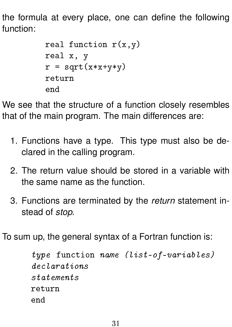the formula at every place, one can define the following function:

```
real function r(x,y)real x, y
r = sqrt(x*x+y*y)return
end
```
We see that the structure of a function closely resembles that of the main program. The main differences are:

- 1. Functions have a type. This type must also be declared in the calling program.
- 2. The return value should be stored in a variable with the same name as the function.
- 3. Functions are terminated by the *return* statement instead of *stop*.

To sum up, the general syntax of a Fortran function is:

```
type function name (list-of-variables)
declarations
statements
return
end
```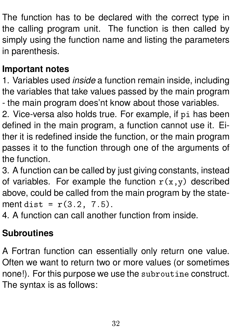The function has to be declared with the correct type in the calling program unit. The function is then called by simply using the function name and listing the parameters in parenthesis.

#### **Important notes**

1. Variables used *inside* a function remain inside, including the variables that take values passed by the main program - the main program does'nt know about those variables.

2. Vice-versa also holds true. For example, if pi has been defined in the main program, a function cannot use it. Either it is redefined inside the function, or the main program passes it to the function through one of the arguments of the function.

3. A function can be called by just giving constants, instead of variables. For example the function  $r(x,y)$  described above, could be called from the main program by the statement dist =  $r(3.2, 7.5)$ .

4. A function can call another function from inside.

#### **Subroutines**

A Fortran function can essentially only return one value. Often we want to return two or more values (or sometimes none!). For this purpose we use the subroutine construct. The syntax is as follows: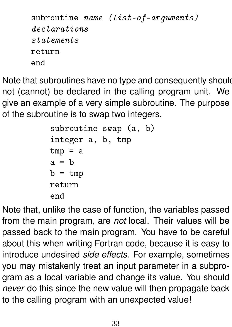```
subroutine name (list-of-arguments)declarations
statements
return
end
```
Note that subroutines have no type and consequently should not (cannot) be declared in the calling program unit. We give an example of a very simple subroutine. The purpose of the subroutine is to swap two integers.

```
subroutine swap (a, b)
integer a, b, tmp
tmp = aa = bb = tmpreturn
end
```
Note that, unlike the case of function, the variables passed from the main program, are *not* local. Their values will be passed back to the main program. You have to be careful about this when writing Fortran code, because it is easy to introduce undesired *side effects*. For example, sometimes you may mistakenly treat an input parameter in a subprogram as a local variable and change its value. You should *never* do this since the new value will then propagate back to the calling program with an unexpected value!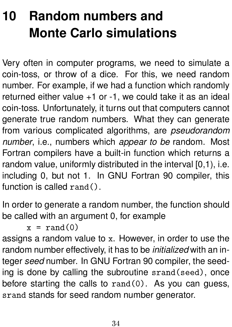# <span id="page-34-0"></span>**10 Random numbers and Monte Carlo simulations**

Very often in computer programs, we need to simulate a coin-toss, or throw of a dice. For this, we need random number. For example, if we had a function which randomly returned either value +1 or -1, we could take it as an ideal coin-toss. Unfortunately, it turns out that computers cannot generate true random numbers. What they can generate from various complicated algorithms, are *pseudorandom number*, i.e., numbers which *appear to be* random. Most Fortran compilers have a built-in function which returns a random value, uniformly distributed in the interval [0,1], i.e. including 0, but not 1. In GNU Fortran 90 compiler, this function is called rand().

In order to generate a random number, the function should be called with an argument 0, for example

 $x = \text{rand}(0)$ 

assigns a random value to x. However, in order to use the random number effectively, it has to be *initialized* with an integer *seed* number. In GNU Fortran 90 compiler, the seeding is done by calling the subroutine srand(seed), once before starting the calls to  $rand(0)$ . As you can guess, srand stands for seed random number generator.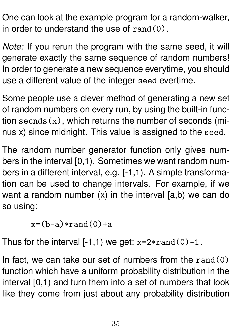One can look at the example program for a random-walker, in order to understand the use of  $rand(0)$ .

*Note:* If you rerun the program with the same seed, it will generate exactly the same sequence of random numbers! In order to generate a new sequence everytime, you should use a different value of the integer seed evertime.

Some people use a clever method of generating a new set of random numbers on every run, by using the built-in function secnds $(x)$ , which returns the number of seconds (minus x) since midnight. This value is assigned to the seed.

The random number generator function only gives numbers in the interval [0,1). Sometimes we want random numbers in a different interval, e.g. [-1,1). A simple transformation can be used to change intervals. For example, if we want a random number (x) in the interval [a,b) we can do so using:

 $x=(b-a)*rand(0)+a$ 

Thus for the interval  $[-1,1)$  we get:  $x=2*rand(0)-1$ .

In fact, we can take our set of numbers from the  $rand(0)$ function which have a uniform probability distribution in the interval [0,1) and turn them into a set of numbers that look like they come from just about any probability distribution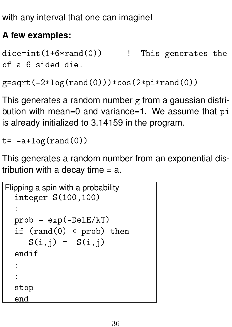with any interval that one can imagine!

#### **A few examples:**

```
dice=int(1+6*rand(0)) ! This generates the
of a 6 sided die.
```

```
g=sqrt(-2*log(rand(0)))*cos(2*pi*rand(0))
```
This generates a random number g from a gaussian distribution with mean=0 and variance=1. We assume that pi is already initialized to 3.14159 in the program.

 $t = -a * log(rand(0))$ 

This generates a random number from an exponential distribution with a decay time  $= a$ .

```
Flipping a spin with a probability
  integer S(100,100)
  :
  prob = exp(-DeltaE/kT)if (rand(0) < prob) then
     S(i, j) = -S(i, j)endif
  :
  :
  stop
  end
```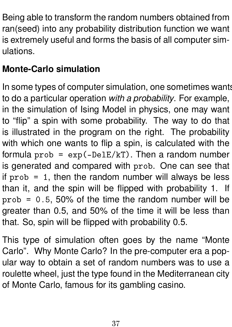Being able to transform the random numbers obtained from ran(seed) into any probability distribution function we want is extremely useful and forms the basis of all computer simulations.

### **Monte-Carlo simulation**

In some types of computer simulation, one sometimes wants to do a particular operation *with a probability*. For example, in the simulation of Ising Model in physics, one may want to "flip" a spin with some probability. The way to do that is illustrated in the program on the right. The probability with which one wants to flip a spin, is calculated with the formula  $prob = exp(-Delta/kT)$ . Then a random number is generated and compared with prob. One can see that if  $prob = 1$ , then the random number will always be less than it, and the spin will be flipped with probability 1. If  $prob = 0.5, 50\%$  of the time the random number will be greater than 0.5, and 50% of the time it will be less than that. So, spin will be flipped with probability 0.5.

This type of simulation often goes by the name "Monte Carlo". Why Monte Carlo? In the pre-computer era a popular way to obtain a set of random numbers was to use a roulette wheel, just the type found in the Mediterranean city of Monte Carlo, famous for its gambling casino.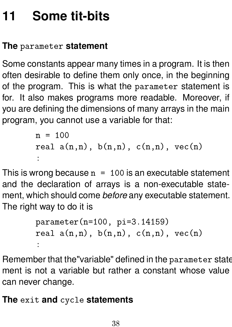# <span id="page-38-0"></span>**11 Some tit-bits**

### **The** parameter **statement**

Some constants appear many times in a program. It is then often desirable to define them only once, in the beginning of the program. This is what the parameter statement is for. It also makes programs more readable. Moreover, if you are defining the dimensions of many arrays in the main program, you cannot use a variable for that:

```
n = 100real a(n,n), b(n,n), c(n,n), vec(n):
```
This is wrong because  $n = 100$  is an executable statement and the declaration of arrays is a non-executable statement, which should come *before* any executable statement. The right way to do it is

```
parameter(n=100, pi=3.14159)
real a(n,n), b(n,n), c(n,n), vec(n)
```
Remember that the"variable" defined in the parameter statement is not a variable but rather a constant whose value can never change.

**The** exit **and** cycle **statements**

: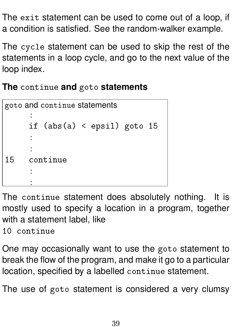The exit statement can be used to come out of a loop, if a condition is satisfied. See the random-walker example.

The cycle statement can be used to skip the rest of the statements in a loop cycle, and go to the next value of the loop index.

**The** continue **and** goto **statements**

```
goto and continue statements
      :
      if (abs(a) < epsil) goto 15
      :
      :
15 continue
      :
      :
```
The continue statement does absolutely nothing. It is mostly used to specify a location in a program, together with a statement label, like

10 continue

One may occasionally want to use the goto statement to break the flow of the program, and make it go to a particular location, specified by a labelled continue statement.

The use of goto statement is considered a very clumsy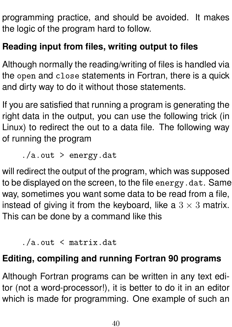programming practice, and should be avoided. It makes the logic of the program hard to follow.

### **Reading input from files, writing output to files**

Although normally the reading/writing of files is handled via the open and close statements in Fortran, there is a quick and dirty way to do it without those statements.

If you are satisfied that running a program is generating the right data in the output, you can use the following trick (in Linux) to redirect the out to a data file. The following way of running the program

./a.out > energy.dat

will redirect the output of the program, which was supposed to be displayed on the screen, to the file energy.dat. Same way, sometimes you want some data to be read from a file, instead of giving it from the keyboard, like a  $3 \times 3$  matrix. This can be done by a command like this

./a.out < matrix.dat

#### **Editing, compiling and running Fortran 90 programs**

Although Fortran programs can be written in any text editor (not a word-processor!), it is better to do it in an editor which is made for programming. One example of such an